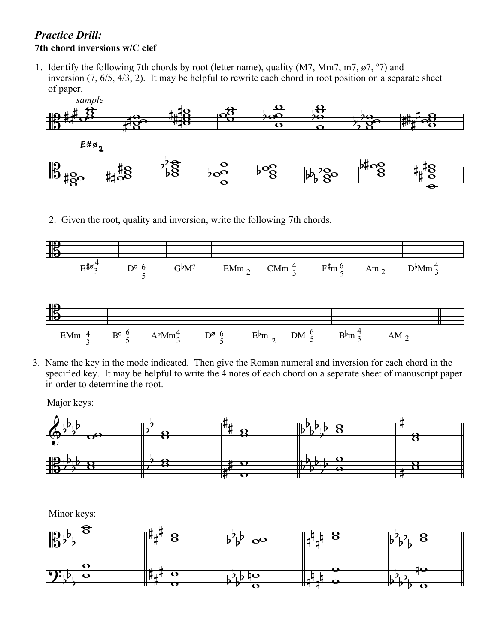## *Practice Drill:* **7th chord inversions w/C clef**

1. Identify the following 7th chords by root (letter name), quality (M7, Mm7, m7, ø7, º7) and inversion (7, 6/5, 4/3, 2). It may be helpful to rewrite each chord in root position on a separate sheet of paper.



2. Given the root, quality and inversion, write the following 7th chords.



3. Name the key in the mode indicated. Then give the Roman numeral and inversion for each chord in the specified key. It may be helpful to write the 4 notes of each chord on a separate sheet of manuscript paper in order to determine the root.

Major keys:



Minor keys: